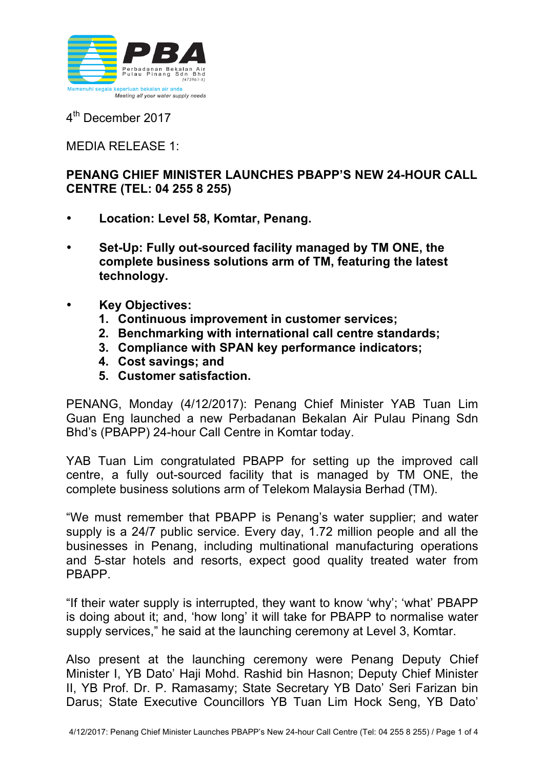

4<sup>th</sup> December 2017

## MEDIA RELEASE 1:

## **PENANG CHIEF MINISTER LAUNCHES PBAPP'S NEW 24-HOUR CALL CENTRE (TEL: 04 255 8 255)**

- **Location: Level 58, Komtar, Penang.**
- **Set-Up: Fully out-sourced facility managed by TM ONE, the complete business solutions arm of TM, featuring the latest technology.**
- **Key Objectives:**
	- **1. Continuous improvement in customer services;**
	- **2. Benchmarking with international call centre standards;**
	- **3. Compliance with SPAN key performance indicators;**
	- **4. Cost savings; and**
	- **5. Customer satisfaction.**

PENANG, Monday (4/12/2017): Penang Chief Minister YAB Tuan Lim Guan Eng launched a new Perbadanan Bekalan Air Pulau Pinang Sdn Bhd's (PBAPP) 24-hour Call Centre in Komtar today.

YAB Tuan Lim congratulated PBAPP for setting up the improved call centre, a fully out-sourced facility that is managed by TM ONE, the complete business solutions arm of Telekom Malaysia Berhad (TM).

"We must remember that PBAPP is Penang's water supplier; and water supply is a 24/7 public service. Every day, 1.72 million people and all the businesses in Penang, including multinational manufacturing operations and 5-star hotels and resorts, expect good quality treated water from PBAPP.

"If their water supply is interrupted, they want to know 'why'; 'what' PBAPP is doing about it; and, 'how long' it will take for PBAPP to normalise water supply services," he said at the launching ceremony at Level 3, Komtar.

Also present at the launching ceremony were Penang Deputy Chief Minister I, YB Dato' Haji Mohd. Rashid bin Hasnon; Deputy Chief Minister II, YB Prof. Dr. P. Ramasamy; State Secretary YB Dato' Seri Farizan bin Darus; State Executive Councillors YB Tuan Lim Hock Seng, YB Dato'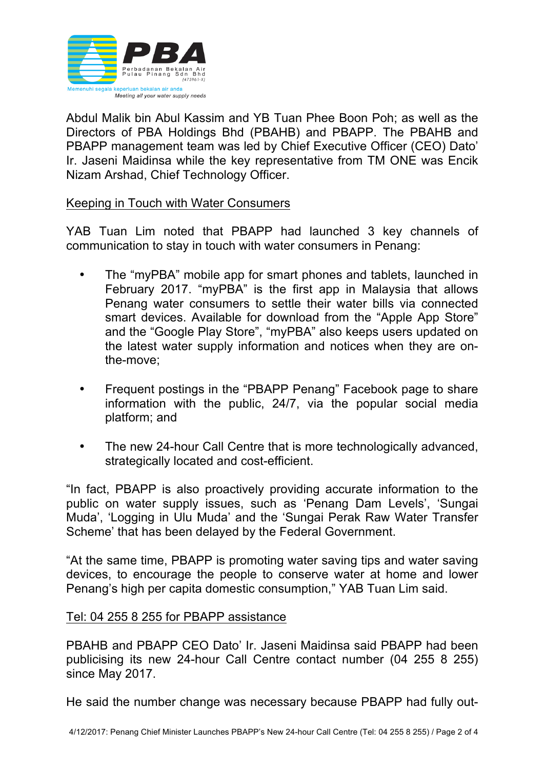

Abdul Malik bin Abul Kassim and YB Tuan Phee Boon Poh; as well as the Directors of PBA Holdings Bhd (PBAHB) and PBAPP. The PBAHB and PBAPP management team was led by Chief Executive Officer (CEO) Dato' Ir. Jaseni Maidinsa while the key representative from TM ONE was Encik Nizam Arshad, Chief Technology Officer.

## Keeping in Touch with Water Consumers

YAB Tuan Lim noted that PBAPP had launched 3 key channels of communication to stay in touch with water consumers in Penang:

- The "myPBA" mobile app for smart phones and tablets, launched in February 2017. "myPBA" is the first app in Malaysia that allows Penang water consumers to settle their water bills via connected smart devices. Available for download from the "Apple App Store" and the "Google Play Store", "myPBA" also keeps users updated on the latest water supply information and notices when they are onthe-move;
- Frequent postings in the "PBAPP Penang" Facebook page to share information with the public, 24/7, via the popular social media platform; and
- The new 24-hour Call Centre that is more technologically advanced, strategically located and cost-efficient.

"In fact, PBAPP is also proactively providing accurate information to the public on water supply issues, such as 'Penang Dam Levels', 'Sungai Muda', 'Logging in Ulu Muda' and the 'Sungai Perak Raw Water Transfer Scheme' that has been delayed by the Federal Government.

"At the same time, PBAPP is promoting water saving tips and water saving devices, to encourage the people to conserve water at home and lower Penang's high per capita domestic consumption," YAB Tuan Lim said.

## Tel: 04 255 8 255 for PBAPP assistance

PBAHB and PBAPP CEO Dato' Ir. Jaseni Maidinsa said PBAPP had been publicising its new 24-hour Call Centre contact number (04 255 8 255) since May 2017.

He said the number change was necessary because PBAPP had fully out-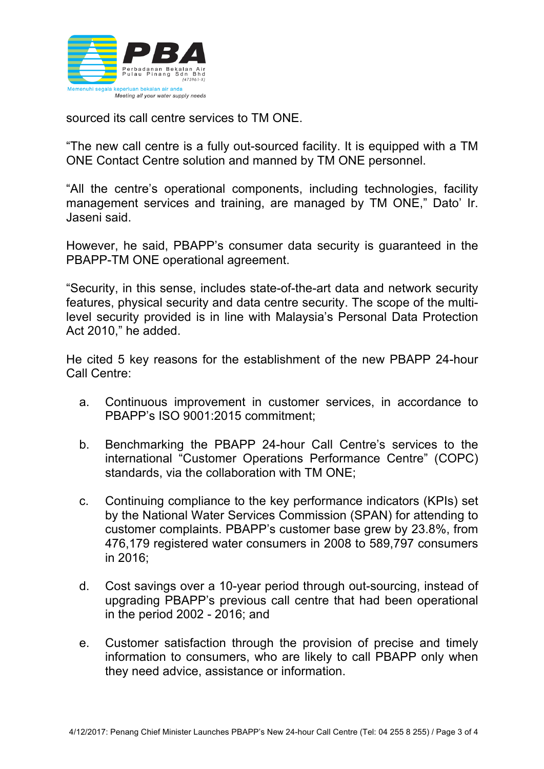

sourced its call centre services to TM ONE.

"The new call centre is a fully out-sourced facility. It is equipped with a TM ONE Contact Centre solution and manned by TM ONE personnel.

"All the centre's operational components, including technologies, facility management services and training, are managed by TM ONE," Dato' Ir. Jaseni said.

However, he said, PBAPP's consumer data security is guaranteed in the PBAPP-TM ONE operational agreement.

"Security, in this sense, includes state-of-the-art data and network security features, physical security and data centre security. The scope of the multilevel security provided is in line with Malaysia's Personal Data Protection Act 2010," he added.

He cited 5 key reasons for the establishment of the new PBAPP 24-hour Call Centre:

- a. Continuous improvement in customer services, in accordance to PBAPP's ISO 9001:2015 commitment;
- b. Benchmarking the PBAPP 24-hour Call Centre's services to the international "Customer Operations Performance Centre" (COPC) standards, via the collaboration with TM ONE;
- c. Continuing compliance to the key performance indicators (KPIs) set by the National Water Services Commission (SPAN) for attending to customer complaints. PBAPP's customer base grew by 23.8%, from 476,179 registered water consumers in 2008 to 589,797 consumers in 2016;
- d. Cost savings over a 10-year period through out-sourcing, instead of upgrading PBAPP's previous call centre that had been operational in the period 2002 - 2016; and
- e. Customer satisfaction through the provision of precise and timely information to consumers, who are likely to call PBAPP only when they need advice, assistance or information.